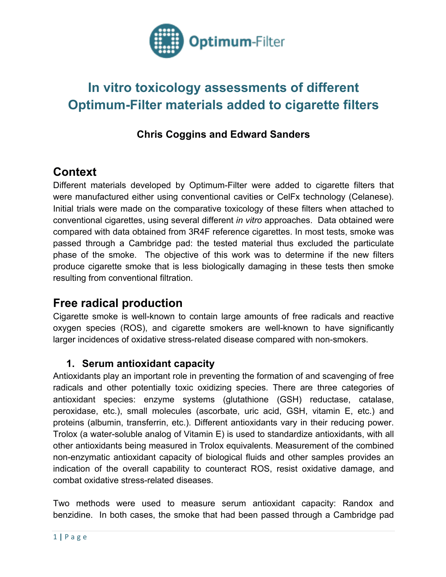

# **In vitro toxicology assessments of different Optimum-Filter materials added to cigarette filters**

## **Chris Coggins and Edward Sanders**

## **Context**

Different materials developed by Optimum-Filter were added to cigarette filters that were manufactured either using conventional cavities or CelFx technology (Celanese). Initial trials were made on the comparative toxicology of these filters when attached to conventional cigarettes, using several different *in vitro* approaches. Data obtained were compared with data obtained from 3R4F reference cigarettes. In most tests, smoke was passed through a Cambridge pad: the tested material thus excluded the particulate phase of the smoke. The objective of this work was to determine if the new filters produce cigarette smoke that is less biologically damaging in these tests then smoke resulting from conventional filtration.

## **Free radical production**

Cigarette smoke is well-known to contain large amounts of free radicals and reactive oxygen species (ROS), and cigarette smokers are well-known to have significantly larger incidences of oxidative stress-related disease compared with non-smokers.

### **1. Serum antioxidant capacity**

Antioxidants play an important role in preventing the formation of and scavenging of free radicals and other potentially toxic oxidizing species. There are three categories of antioxidant species: enzyme systems (glutathione (GSH) reductase, catalase, peroxidase, etc.), small molecules (ascorbate, uric acid, GSH, vitamin E, etc.) and proteins (albumin, transferrin, etc.). Different antioxidants vary in their reducing power. Trolox (a water-soluble analog of Vitamin E) is used to standardize antioxidants, with all other antioxidants being measured in Trolox equivalents. Measurement of the combined non-enzymatic antioxidant capacity of biological fluids and other samples provides an indication of the overall capability to counteract ROS, resist oxidative damage, and combat oxidative stress-related diseases.

Two methods were used to measure serum antioxidant capacity: Randox and benzidine. In both cases, the smoke that had been passed through a Cambridge pad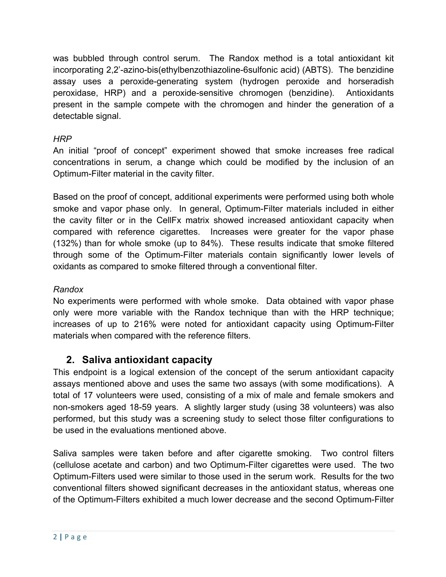was bubbled through control serum. The Randox method is a total antioxidant kit incorporating 2,2'-azino-bis(ethylbenzothiazoline-6sulfonic acid) (ABTS). The benzidine assay uses a peroxide-generating system (hydrogen peroxide and horseradish peroxidase, HRP) and a peroxide-sensitive chromogen (benzidine). Antioxidants present in the sample compete with the chromogen and hinder the generation of a detectable signal.

#### *HRP*

An initial "proof of concept" experiment showed that smoke increases free radical concentrations in serum, a change which could be modified by the inclusion of an Optimum-Filter material in the cavity filter.

Based on the proof of concept, additional experiments were performed using both whole smoke and vapor phase only. In general, Optimum-Filter materials included in either the cavity filter or in the CellFx matrix showed increased antioxidant capacity when compared with reference cigarettes. Increases were greater for the vapor phase (132%) than for whole smoke (up to 84%). These results indicate that smoke filtered through some of the Optimum-Filter materials contain significantly lower levels of oxidants as compared to smoke filtered through a conventional filter.

#### *Randox*

No experiments were performed with whole smoke. Data obtained with vapor phase only were more variable with the Randox technique than with the HRP technique; increases of up to 216% were noted for antioxidant capacity using Optimum-Filter materials when compared with the reference filters.

### **2. Saliva antioxidant capacity**

This endpoint is a logical extension of the concept of the serum antioxidant capacity assays mentioned above and uses the same two assays (with some modifications). A total of 17 volunteers were used, consisting of a mix of male and female smokers and non-smokers aged 18-59 years. A slightly larger study (using 38 volunteers) was also performed, but this study was a screening study to select those filter configurations to be used in the evaluations mentioned above.

Saliva samples were taken before and after cigarette smoking. Two control filters (cellulose acetate and carbon) and two Optimum-Filter cigarettes were used. The two Optimum-Filters used were similar to those used in the serum work. Results for the two conventional filters showed significant decreases in the antioxidant status, whereas one of the Optimum-Filters exhibited a much lower decrease and the second Optimum-Filter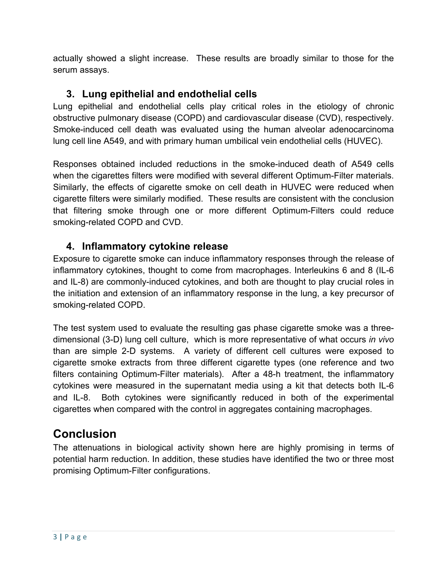actually showed a slight increase. These results are broadly similar to those for the serum assays.

### **3. Lung epithelial and endothelial cells**

Lung epithelial and endothelial cells play critical roles in the etiology of chronic obstructive pulmonary disease (COPD) and cardiovascular disease (CVD), respectively. Smoke-induced cell death was evaluated using the human alveolar adenocarcinoma lung cell line A549, and with primary human umbilical vein endothelial cells (HUVEC).

Responses obtained included reductions in the smoke-induced death of A549 cells when the cigarettes filters were modified with several different Optimum-Filter materials. Similarly, the effects of cigarette smoke on cell death in HUVEC were reduced when cigarette filters were similarly modified. These results are consistent with the conclusion that filtering smoke through one or more different Optimum-Filters could reduce smoking-related COPD and CVD.

### **4. Inflammatory cytokine release**

Exposure to cigarette smoke can induce inflammatory responses through the release of inflammatory cytokines, thought to come from macrophages. Interleukins 6 and 8 (IL-6 and IL-8) are commonly-induced cytokines, and both are thought to play crucial roles in the initiation and extension of an inflammatory response in the lung, a key precursor of smoking-related COPD.

The test system used to evaluate the resulting gas phase cigarette smoke was a threedimensional (3-D) lung cell culture, which is more representative of what occurs *in vivo* than are simple 2-D systems. A variety of different cell cultures were exposed to cigarette smoke extracts from three different cigarette types (one reference and two filters containing Optimum-Filter materials). After a 48-h treatment, the inflammatory cytokines were measured in the supernatant media using a kit that detects both IL-6 and IL-8. Both cytokines were significantly reduced in both of the experimental cigarettes when compared with the control in aggregates containing macrophages.

## **Conclusion**

The attenuations in biological activity shown here are highly promising in terms of potential harm reduction. In addition, these studies have identified the two or three most promising Optimum-Filter configurations.